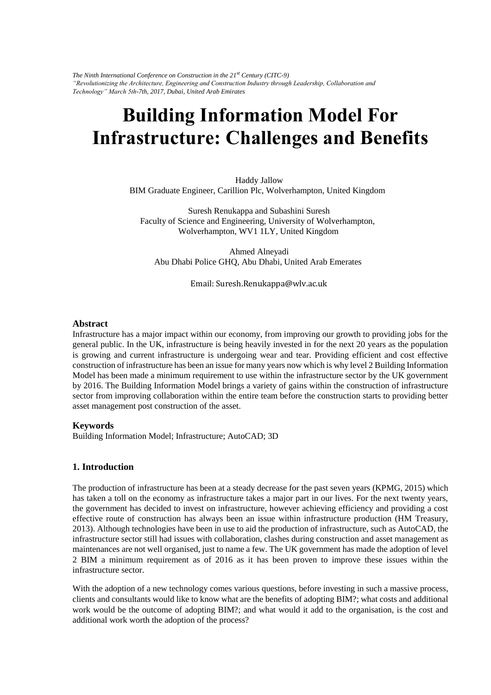*The Ninth International Conference on Construction in the 21st Century (CITC-9) "Revolutionizing the Architecture, Engineering and Construction Industry through Leadership, Collaboration and Technology" March 5th-7th, 2017, Dubai, United Arab Emirates* 

# **Building Information Model For Infrastructure: Challenges and Benefits**

Haddy Jallow BIM Graduate Engineer, Carillion Plc, Wolverhampton, United Kingdom

Suresh Renukappa and Subashini Suresh Faculty of Science and Engineering, University of Wolverhampton, Wolverhampton, WV1 1LY, United Kingdom

Ahmed Alneyadi Abu Dhabi Police GHQ, Abu Dhabi, United Arab Emerates

Email: Suresh.Renukappa@wlv.ac.uk

#### **Abstract**

Infrastructure has a major impact within our economy, from improving our growth to providing jobs for the general public. In the UK, infrastructure is being heavily invested in for the next 20 years as the population is growing and current infrastructure is undergoing wear and tear. Providing efficient and cost effective construction of infrastructure has been an issue for many years now which is why level 2 Building Information Model has been made a minimum requirement to use within the infrastructure sector by the UK government by 2016. The Building Information Model brings a variety of gains within the construction of infrastructure sector from improving collaboration within the entire team before the construction starts to providing better asset management post construction of the asset.

#### **Keywords**

Building Information Model; Infrastructure; AutoCAD; 3D

## **1. Introduction**

The production of infrastructure has been at a steady decrease for the past seven years (KPMG, 2015) which has taken a toll on the economy as infrastructure takes a major part in our lives. For the next twenty years, the government has decided to invest on infrastructure, however achieving efficiency and providing a cost effective route of construction has always been an issue within infrastructure production (HM Treasury, 2013). Although technologies have been in use to aid the production of infrastructure, such as AutoCAD, the infrastructure sector still had issues with collaboration, clashes during construction and asset management as maintenances are not well organised, just to name a few. The UK government has made the adoption of level 2 BIM a minimum requirement as of 2016 as it has been proven to improve these issues within the infrastructure sector.

With the adoption of a new technology comes various questions, before investing in such a massive process, clients and consultants would like to know what are the benefits of adopting BIM?; what costs and additional work would be the outcome of adopting BIM?; and what would it add to the organisation, is the cost and additional work worth the adoption of the process?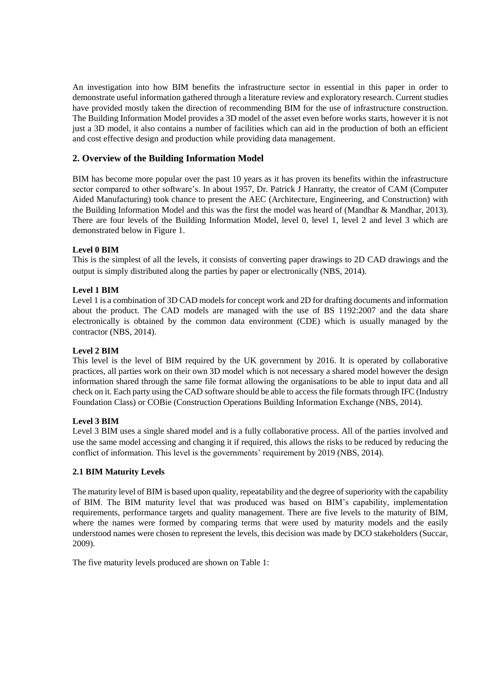An investigation into how BIM benefits the infrastructure sector in essential in this paper in order to demonstrate useful information gathered through a literature review and exploratory research. Current studies have provided mostly taken the direction of recommending BIM for the use of infrastructure construction. The Building Information Model provides a 3D model of the asset even before works starts, however it is not just a 3D model, it also contains a number of facilities which can aid in the production of both an efficient and cost effective design and production while providing data management.

# **2. Overview of the Building Information Model**

BIM has become more popular over the past 10 years as it has proven its benefits within the infrastructure sector compared to other software's. In about 1957, Dr. Patrick J Hanratty, the creator of CAM (Computer Aided Manufacturing) took chance to present the AEC (Architecture, Engineering, and Construction) with the Building Information Model and this was the first the model was heard of (Mandhar & Mandhar, 2013). There are four levels of the Building Information Model, level 0, level 1, level 2 and level 3 which are demonstrated below in Figure 1.

## **Level 0 BIM**

This is the simplest of all the levels, it consists of converting paper drawings to 2D CAD drawings and the output is simply distributed along the parties by paper or electronically (NBS, 2014).

## **Level 1 BIM**

Level 1 is a combination of 3D CAD models for concept work and 2D for drafting documents and information about the product. The CAD models are managed with the use of BS 1192:2007 and the data share electronically is obtained by the common data environment (CDE) which is usually managed by the contractor (NBS, 2014).

## **Level 2 BIM**

This level is the level of BIM required by the UK government by 2016. It is operated by collaborative practices, all parties work on their own 3D model which is not necessary a shared model however the design information shared through the same file format allowing the organisations to be able to input data and all check on it. Each party using the CAD software should be able to access the file formats through IFC (Industry Foundation Class) or COBie (Construction Operations Building Information Exchange (NBS, 2014).

## **Level 3 BIM**

Level 3 BIM uses a single shared model and is a fully collaborative process. All of the parties involved and use the same model accessing and changing it if required, this allows the risks to be reduced by reducing the conflict of information. This level is the governments' requirement by 2019 (NBS, 2014).

## **2.1 BIM Maturity Levels**

The maturity level of BIM is based upon quality, repeatability and the degree of superiority with the capability of BIM. The BIM maturity level that was produced was based on BIM's capability, implementation requirements, performance targets and quality management. There are five levels to the maturity of BIM, where the names were formed by comparing terms that were used by maturity models and the easily understood names were chosen to represent the levels, this decision was made by DCO stakeholders (Succar, 2009).

The five maturity levels produced are shown on Table 1: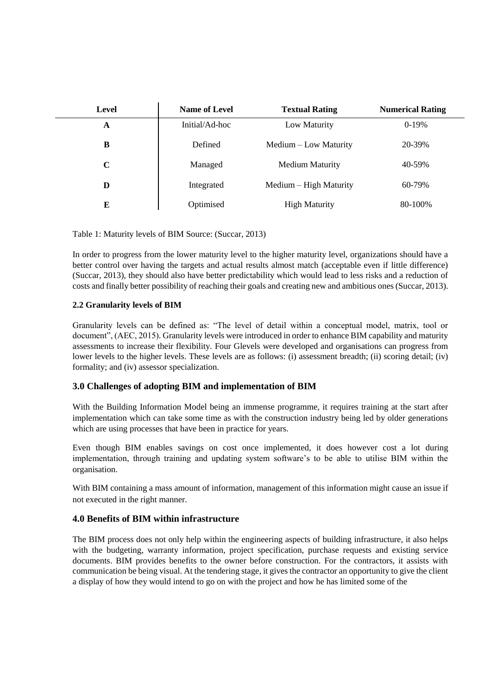| <b>Level</b> | <b>Name of Level</b> | <b>Textual Rating</b>  | <b>Numerical Rating</b> |
|--------------|----------------------|------------------------|-------------------------|
| A            | Initial/Ad-hoc       | Low Maturity           | $0-19%$                 |
| B            | Defined              | Medium – Low Maturity  | 20-39%                  |
| $\mathbf C$  | Managed              | <b>Medium Maturity</b> | 40-59%                  |
| D            | Integrated           | Medium – High Maturity | 60-79%                  |
| E            | Optimised            | <b>High Maturity</b>   | 80-100%                 |

Table 1: Maturity levels of BIM Source: (Succar, 2013)

In order to progress from the lower maturity level to the higher maturity level, organizations should have a better control over having the targets and actual results almost match (acceptable even if little difference) (Succar, 2013), they should also have better predictability which would lead to less risks and a reduction of costs and finally better possibility of reaching their goals and creating new and ambitious ones (Succar, 2013).

# **2.2 Granularity levels of BIM**

Granularity levels can be defined as: "The level of detail within a conceptual model, matrix, tool or document", (AEC, 2015). Granularity levels were introduced in order to enhance BIM capability and maturity assessments to increase their flexibility. Four Glevels were developed and organisations can progress from lower levels to the higher levels. These levels are as follows: (i) assessment breadth; (ii) scoring detail; (iv) formality; and (iv) assessor specialization.

# **3.0 Challenges of adopting BIM and implementation of BIM**

With the Building Information Model being an immense programme, it requires training at the start after implementation which can take some time as with the construction industry being led by older generations which are using processes that have been in practice for years.

Even though BIM enables savings on cost once implemented, it does however cost a lot during implementation, through training and updating system software's to be able to utilise BIM within the organisation.

With BIM containing a mass amount of information, management of this information might cause an issue if not executed in the right manner.

# **4.0 Benefits of BIM within infrastructure**

The BIM process does not only help within the engineering aspects of building infrastructure, it also helps with the budgeting, warranty information, project specification, purchase requests and existing service documents. BIM provides benefits to the owner before construction. For the contractors, it assists with communication be being visual. At the tendering stage, it gives the contractor an opportunity to give the client a display of how they would intend to go on with the project and how he has limited some of the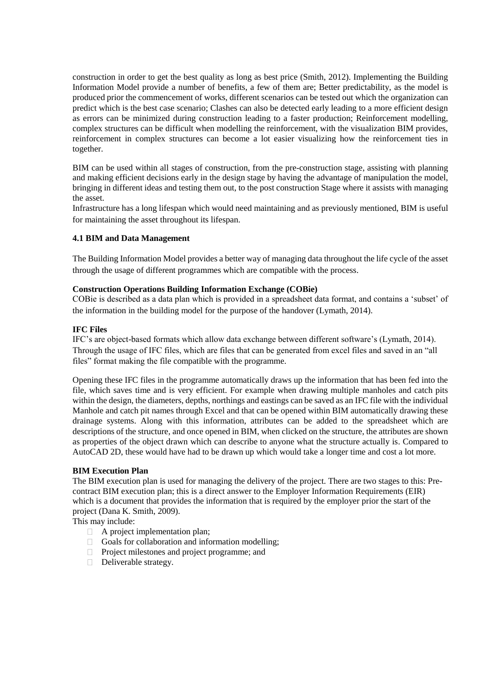construction in order to get the best quality as long as best price (Smith, 2012). Implementing the Building Information Model provide a number of benefits, a few of them are; Better predictability, as the model is produced prior the commencement of works, different scenarios can be tested out which the organization can predict which is the best case scenario; Clashes can also be detected early leading to a more efficient design as errors can be minimized during construction leading to a faster production; Reinforcement modelling, complex structures can be difficult when modelling the reinforcement, with the visualization BIM provides, reinforcement in complex structures can become a lot easier visualizing how the reinforcement ties in together.

BIM can be used within all stages of construction, from the pre-construction stage, assisting with planning and making efficient decisions early in the design stage by having the advantage of manipulation the model, bringing in different ideas and testing them out, to the post construction Stage where it assists with managing the asset.

Infrastructure has a long lifespan which would need maintaining and as previously mentioned, BIM is useful for maintaining the asset throughout its lifespan.

## **4.1 BIM and Data Management**

The Building Information Model provides a better way of managing data throughout the life cycle of the asset through the usage of different programmes which are compatible with the process.

## **Construction Operations Building Information Exchange (COBie)**

COBie is described as a data plan which is provided in a spreadsheet data format, and contains a 'subset' of the information in the building model for the purpose of the handover (Lymath, 2014).

#### **IFC Files**

IFC's are object-based formats which allow data exchange between different software's (Lymath, 2014). Through the usage of IFC files, which are files that can be generated from excel files and saved in an "all files" format making the file compatible with the programme.

Opening these IFC files in the programme automatically draws up the information that has been fed into the file, which saves time and is very efficient. For example when drawing multiple manholes and catch pits within the design, the diameters, depths, northings and eastings can be saved as an IFC file with the individual Manhole and catch pit names through Excel and that can be opened within BIM automatically drawing these drainage systems. Along with this information, attributes can be added to the spreadsheet which are descriptions of the structure, and once opened in BIM, when clicked on the structure, the attributes are shown as properties of the object drawn which can describe to anyone what the structure actually is. Compared to AutoCAD 2D, these would have had to be drawn up which would take a longer time and cost a lot more.

## **BIM Execution Plan**

The BIM execution plan is used for managing the delivery of the project. There are two stages to this: Precontract BIM execution plan; this is a direct answer to the Employer Information Requirements (EIR) which is a document that provides the information that is required by the employer prior the start of the project (Dana K. Smith, 2009).

This may include:

- A project implementation plan;
- Goals for collaboration and information modelling;
- **Project milestones and project programme; and**
- Deliverable strategy.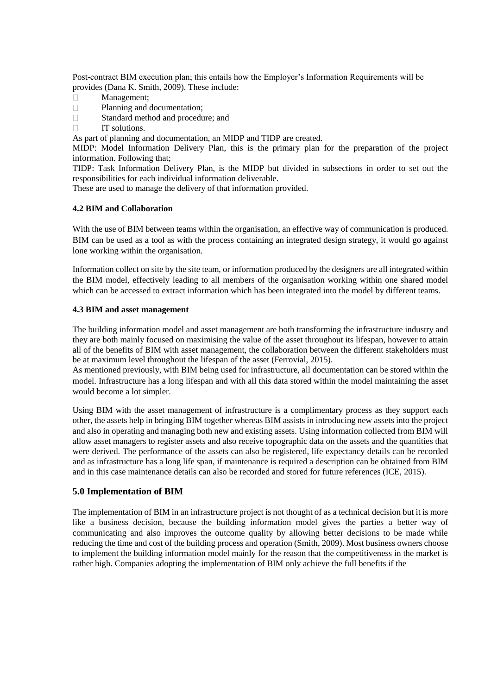Post-contract BIM execution plan; this entails how the Employer's Information Requirements will be provides (Dana K. Smith, 2009). These include:

- Management;  $\Box$
- $\Box$ Planning and documentation;
- $\Box$ Standard method and procedure; and
- $\Box$ IT solutions.

As part of planning and documentation, an MIDP and TIDP are created.

MIDP: Model Information Delivery Plan, this is the primary plan for the preparation of the project information. Following that;

TIDP: Task Information Delivery Plan, is the MIDP but divided in subsections in order to set out the responsibilities for each individual information deliverable.

These are used to manage the delivery of that information provided.

## **4.2 BIM and Collaboration**

With the use of BIM between teams within the organisation, an effective way of communication is produced. BIM can be used as a tool as with the process containing an integrated design strategy, it would go against lone working within the organisation.

Information collect on site by the site team, or information produced by the designers are all integrated within the BIM model, effectively leading to all members of the organisation working within one shared model which can be accessed to extract information which has been integrated into the model by different teams.

## **4.3 BIM and asset management**

The building information model and asset management are both transforming the infrastructure industry and they are both mainly focused on maximising the value of the asset throughout its lifespan, however to attain all of the benefits of BIM with asset management, the collaboration between the different stakeholders must be at maximum level throughout the lifespan of the asset (Ferrovial, 2015).

As mentioned previously, with BIM being used for infrastructure, all documentation can be stored within the model. Infrastructure has a long lifespan and with all this data stored within the model maintaining the asset would become a lot simpler.

Using BIM with the asset management of infrastructure is a complimentary process as they support each other, the assets help in bringing BIM together whereas BIM assists in introducing new assets into the project and also in operating and managing both new and existing assets. Using information collected from BIM will allow asset managers to register assets and also receive topographic data on the assets and the quantities that were derived. The performance of the assets can also be registered, life expectancy details can be recorded and as infrastructure has a long life span, if maintenance is required a description can be obtained from BIM and in this case maintenance details can also be recorded and stored for future references (ICE, 2015).

## **5.0 Implementation of BIM**

The implementation of BIM in an infrastructure project is not thought of as a technical decision but it is more like a business decision, because the building information model gives the parties a better way of communicating and also improves the outcome quality by allowing better decisions to be made while reducing the time and cost of the building process and operation (Smith, 2009). Most business owners choose to implement the building information model mainly for the reason that the competitiveness in the market is rather high. Companies adopting the implementation of BIM only achieve the full benefits if the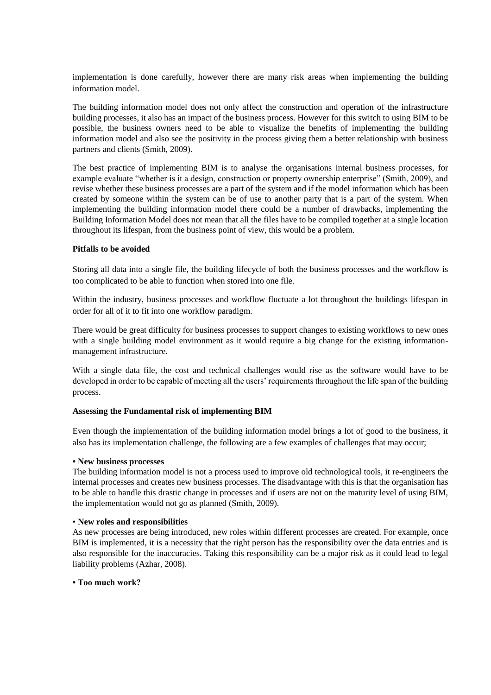implementation is done carefully, however there are many risk areas when implementing the building information model.

The building information model does not only affect the construction and operation of the infrastructure building processes, it also has an impact of the business process. However for this switch to using BIM to be possible, the business owners need to be able to visualize the benefits of implementing the building information model and also see the positivity in the process giving them a better relationship with business partners and clients (Smith, 2009).

The best practice of implementing BIM is to analyse the organisations internal business processes, for example evaluate "whether is it a design, construction or property ownership enterprise" (Smith, 2009), and revise whether these business processes are a part of the system and if the model information which has been created by someone within the system can be of use to another party that is a part of the system. When implementing the building information model there could be a number of drawbacks, implementing the Building Information Model does not mean that all the files have to be compiled together at a single location throughout its lifespan, from the business point of view, this would be a problem.

## **Pitfalls to be avoided**

Storing all data into a single file, the building lifecycle of both the business processes and the workflow is too complicated to be able to function when stored into one file.

Within the industry, business processes and workflow fluctuate a lot throughout the buildings lifespan in order for all of it to fit into one workflow paradigm.

There would be great difficulty for business processes to support changes to existing workflows to new ones with a single building model environment as it would require a big change for the existing informationmanagement infrastructure.

With a single data file, the cost and technical challenges would rise as the software would have to be developed in order to be capable of meeting all the users' requirements throughout the life span of the building process.

#### **Assessing the Fundamental risk of implementing BIM**

Even though the implementation of the building information model brings a lot of good to the business, it also has its implementation challenge, the following are a few examples of challenges that may occur;

#### **• New business processes**

The building information model is not a process used to improve old technological tools, it re-engineers the internal processes and creates new business processes. The disadvantage with this is that the organisation has to be able to handle this drastic change in processes and if users are not on the maturity level of using BIM, the implementation would not go as planned (Smith, 2009).

#### • **New roles and responsibilities**

As new processes are being introduced, new roles within different processes are created. For example, once BIM is implemented, it is a necessity that the right person has the responsibility over the data entries and is also responsible for the inaccuracies. Taking this responsibility can be a major risk as it could lead to legal liability problems (Azhar, 2008).

## **• Too much work?**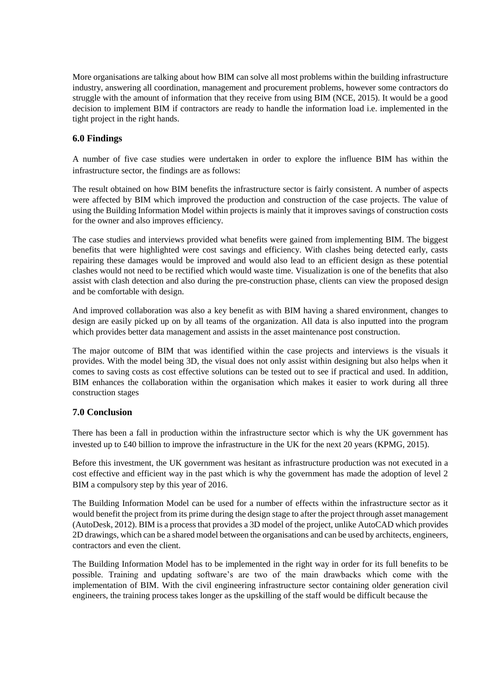More organisations are talking about how BIM can solve all most problems within the building infrastructure industry, answering all coordination, management and procurement problems, however some contractors do struggle with the amount of information that they receive from using BIM (NCE, 2015). It would be a good decision to implement BIM if contractors are ready to handle the information load i.e. implemented in the tight project in the right hands.

# **6.0 Findings**

A number of five case studies were undertaken in order to explore the influence BIM has within the infrastructure sector, the findings are as follows:

The result obtained on how BIM benefits the infrastructure sector is fairly consistent. A number of aspects were affected by BIM which improved the production and construction of the case projects. The value of using the Building Information Model within projects is mainly that it improves savings of construction costs for the owner and also improves efficiency.

The case studies and interviews provided what benefits were gained from implementing BIM. The biggest benefits that were highlighted were cost savings and efficiency. With clashes being detected early, casts repairing these damages would be improved and would also lead to an efficient design as these potential clashes would not need to be rectified which would waste time. Visualization is one of the benefits that also assist with clash detection and also during the pre-construction phase, clients can view the proposed design and be comfortable with design.

And improved collaboration was also a key benefit as with BIM having a shared environment, changes to design are easily picked up on by all teams of the organization. All data is also inputted into the program which provides better data management and assists in the asset maintenance post construction.

The major outcome of BIM that was identified within the case projects and interviews is the visuals it provides. With the model being 3D, the visual does not only assist within designing but also helps when it comes to saving costs as cost effective solutions can be tested out to see if practical and used. In addition, BIM enhances the collaboration within the organisation which makes it easier to work during all three construction stages

# **7.0 Conclusion**

There has been a fall in production within the infrastructure sector which is why the UK government has invested up to £40 billion to improve the infrastructure in the UK for the next 20 years (KPMG, 2015).

Before this investment, the UK government was hesitant as infrastructure production was not executed in a cost effective and efficient way in the past which is why the government has made the adoption of level 2 BIM a compulsory step by this year of 2016.

The Building Information Model can be used for a number of effects within the infrastructure sector as it would benefit the project from its prime during the design stage to after the project through asset management (AutoDesk, 2012). BIM is a process that provides a 3D model of the project, unlike AutoCAD which provides 2D drawings, which can be a shared model between the organisations and can be used by architects, engineers, contractors and even the client.

The Building Information Model has to be implemented in the right way in order for its full benefits to be possible. Training and updating software's are two of the main drawbacks which come with the implementation of BIM. With the civil engineering infrastructure sector containing older generation civil engineers, the training process takes longer as the upskilling of the staff would be difficult because the